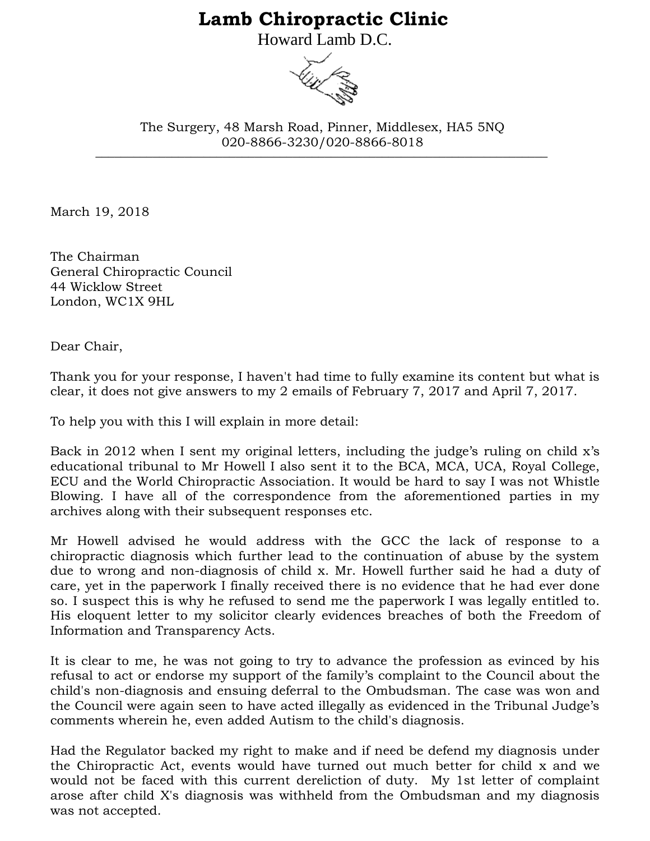## **Lamb Chiropractic Clinic**

Howard Lamb D.C.



\_\_\_\_\_\_\_\_\_\_\_\_\_\_\_\_\_\_\_\_\_\_\_\_\_\_\_\_\_\_\_\_\_\_\_\_\_\_\_\_\_\_\_\_\_\_\_\_\_\_\_\_\_\_\_\_\_\_\_\_\_\_\_\_\_\_\_\_\_\_\_ The Surgery, 48 Marsh Road, Pinner, Middlesex, HA5 5NQ 020-8866-3230/020-8866-8018

March 19, 2018

The Chairman General Chiropractic Council 44 Wicklow Street London, WC1X 9HL

Dear Chair,

Thank you for your response, I haven't had time to fully examine its content but what is clear, it does not give answers to my 2 emails of February 7, 2017 and April 7, 2017.

To help you with this I will explain in more detail:

Back in 2012 when I sent my original letters, including the judge's ruling on child x's educational tribunal to Mr Howell I also sent it to the BCA, MCA, UCA, Royal College, ECU and the World Chiropractic Association. It would be hard to say I was not Whistle Blowing. I have all of the correspondence from the aforementioned parties in my archives along with their subsequent responses etc.

Mr Howell advised he would address with the GCC the lack of response to a chiropractic diagnosis which further lead to the continuation of abuse by the system due to wrong and non-diagnosis of child x. Mr. Howell further said he had a duty of care, yet in the paperwork I finally received there is no evidence that he had ever done so. I suspect this is why he refused to send me the paperwork I was legally entitled to. His eloquent letter to my solicitor clearly evidences breaches of both the Freedom of Information and Transparency Acts.

It is clear to me, he was not going to try to advance the profession as evinced by his refusal to act or endorse my support of the family's complaint to the Council about the child's non-diagnosis and ensuing deferral to the Ombudsman. The case was won and the Council were again seen to have acted illegally as evidenced in the Tribunal Judge's comments wherein he, even added Autism to the child's diagnosis.

Had the Regulator backed my right to make and if need be defend my diagnosis under the Chiropractic Act, events would have turned out much better for child x and we would not be faced with this current dereliction of duty. My 1st letter of complaint arose after child X's diagnosis was withheld from the Ombudsman and my diagnosis was not accepted.